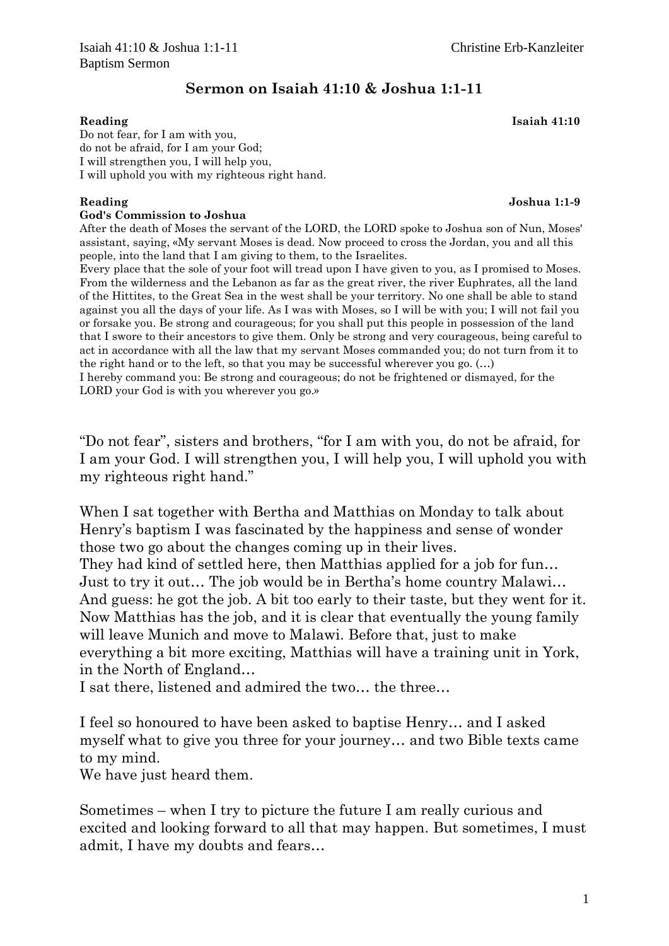## Sermon on Isaiah 41:10 & Joshua 1:1-11

Reading Isaiah 41:10

Do not fear, for I am with you, do not be afraid, for I am your God; I will strengthen you, I will help you, I will uphold you with my righteous right hand.

### God's Commission to Joshua

After the death of Moses the servant of the LORD, the LORD spoke to Joshua son of Nun, Moses' assistant, saying, «My servant Moses is dead. Now proceed to cross the Jordan, you and all this people, into the land that I am giving to them, to the Israelites.

Every place that the sole of your foot will tread upon I have given to you, as I promised to Moses. From the wilderness and the Lebanon as far as the great river, the river Euphrates, all the land of the Hittites, to the Great Sea in the west shall be your territory. No one shall be able to stand against you all the days of your life. As I was with Moses, so I will be with you; I will not fail you or forsake you. Be strong and courageous; for you shall put this people in possession of the land that I swore to their ancestors to give them. Only be strong and very courageous, being careful to act in accordance with all the law that my servant Moses commanded you; do not turn from it to the right hand or to the left, so that you may be successful wherever you go. (…)

I hereby command you: Be strong and courageous; do not be frightened or dismayed, for the LORD your God is with you wherever you go.»

"Do not fear", sisters and brothers, "for I am with you, do not be afraid, for I am your God. I will strengthen you, I will help you, I will uphold you with my righteous right hand."

When I sat together with Bertha and Matthias on Monday to talk about Henry's baptism I was fascinated by the happiness and sense of wonder those two go about the changes coming up in their lives.

They had kind of settled here, then Matthias applied for a job for fun… Just to try it out… The job would be in Bertha's home country Malawi… And guess: he got the job. A bit too early to their taste, but they went for it. Now Matthias has the job, and it is clear that eventually the young family will leave Munich and move to Malawi. Before that, just to make everything a bit more exciting, Matthias will have a training unit in York, in the North of England…

I sat there, listened and admired the two… the three…

I feel so honoured to have been asked to baptise Henry… and I asked myself what to give you three for your journey… and two Bible texts came to my mind.

We have just heard them.

Sometimes – when I try to picture the future I am really curious and excited and looking forward to all that may happen. But sometimes, I must admit, I have my doubts and fears…

Reading **Internal Contract Contract Contract Contract Contract Contract Contract Contract Contract Contract Contract Contract Contract Contract Contract Contract Contract Contract Contract Contract Contract Contract Contra**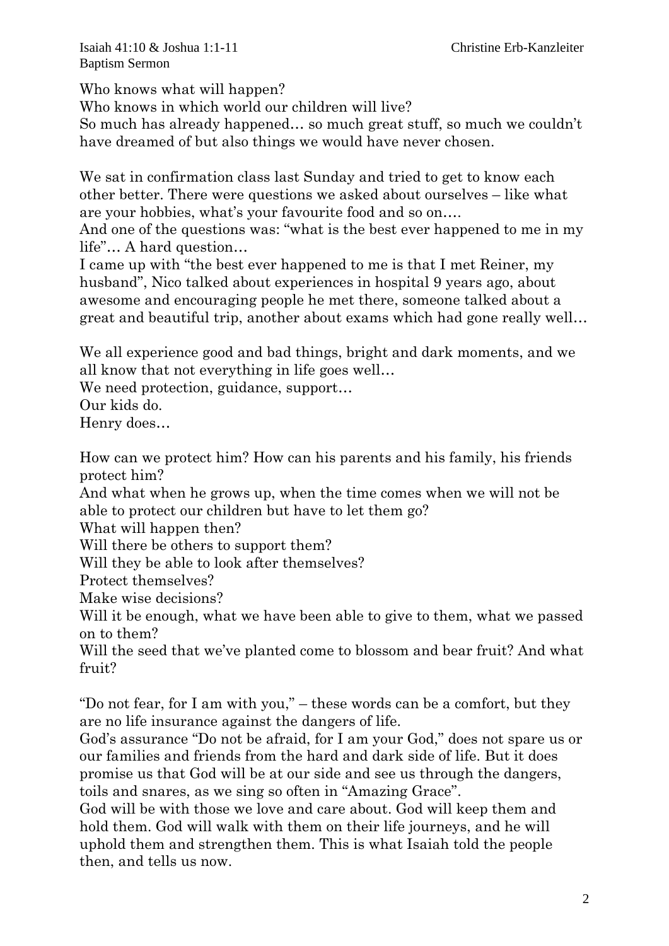Isaiah 41:10 & Joshua 1:1-11 Christine Erb-Kanzleiter Baptism Sermon

Who knows what will happen?

Who knows in which world our children will live?

So much has already happened… so much great stuff, so much we couldn't have dreamed of but also things we would have never chosen.

We sat in confirmation class last Sunday and tried to get to know each other better. There were questions we asked about ourselves – like what are your hobbies, what's your favourite food and so on….

And one of the questions was: "what is the best ever happened to me in my life"… A hard question…

I came up with "the best ever happened to me is that I met Reiner, my husband", Nico talked about experiences in hospital 9 years ago, about awesome and encouraging people he met there, someone talked about a great and beautiful trip, another about exams which had gone really well…

We all experience good and bad things, bright and dark moments, and we all know that not everything in life goes well…

We need protection, guidance, support...

Our kids do.

Henry does…

How can we protect him? How can his parents and his family, his friends protect him?

And what when he grows up, when the time comes when we will not be able to protect our children but have to let them go?

What will happen then?

Will there be others to support them?

Will they be able to look after themselves?

Protect themselves?

Make wise decisions?

Will it be enough, what we have been able to give to them, what we passed on to them?

Will the seed that we've planted come to blossom and bear fruit? And what fruit?

"Do not fear, for I am with you," – these words can be a comfort, but they are no life insurance against the dangers of life.

God's assurance "Do not be afraid, for I am your God," does not spare us or our families and friends from the hard and dark side of life. But it does promise us that God will be at our side and see us through the dangers, toils and snares, as we sing so often in "Amazing Grace".

God will be with those we love and care about. God will keep them and hold them. God will walk with them on their life journeys, and he will uphold them and strengthen them. This is what Isaiah told the people then, and tells us now.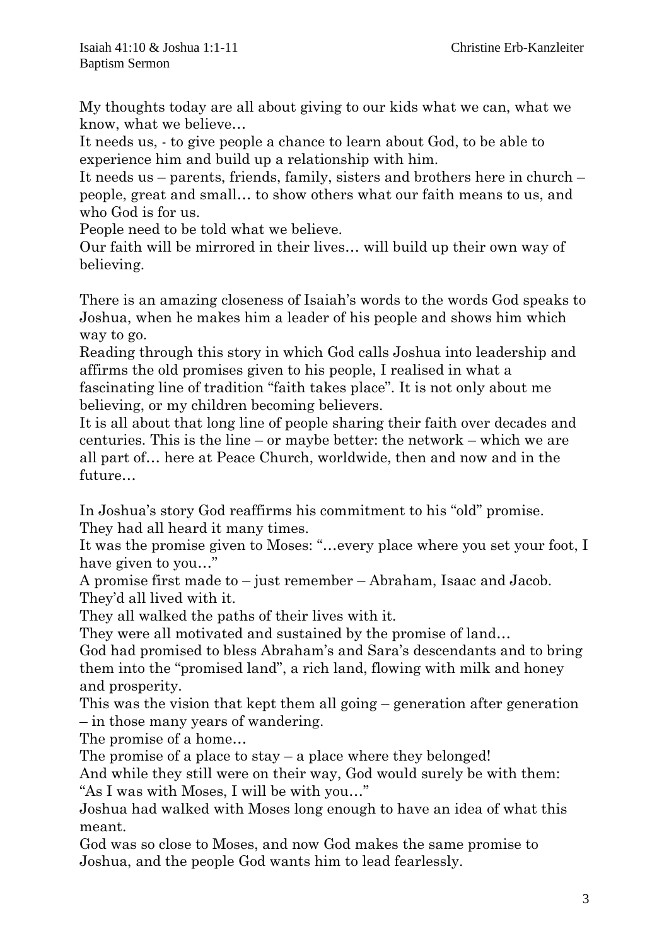My thoughts today are all about giving to our kids what we can, what we know, what we believe…

It needs us, - to give people a chance to learn about God, to be able to experience him and build up a relationship with him.

It needs us – parents, friends, family, sisters and brothers here in church – people, great and small… to show others what our faith means to us, and who God is for us.

People need to be told what we believe.

Our faith will be mirrored in their lives… will build up their own way of believing.

There is an amazing closeness of Isaiah's words to the words God speaks to Joshua, when he makes him a leader of his people and shows him which way to go.

Reading through this story in which God calls Joshua into leadership and affirms the old promises given to his people, I realised in what a fascinating line of tradition "faith takes place". It is not only about me believing, or my children becoming believers.

It is all about that long line of people sharing their faith over decades and centuries. This is the line – or maybe better: the network – which we are all part of… here at Peace Church, worldwide, then and now and in the future…

In Joshua's story God reaffirms his commitment to his "old" promise. They had all heard it many times.

It was the promise given to Moses: "…every place where you set your foot, I have given to you…"

A promise first made to – just remember – Abraham, Isaac and Jacob. They'd all lived with it.

They all walked the paths of their lives with it.

They were all motivated and sustained by the promise of land…

God had promised to bless Abraham's and Sara's descendants and to bring them into the "promised land", a rich land, flowing with milk and honey and prosperity.

This was the vision that kept them all going – generation after generation – in those many years of wandering.

The promise of a home…

The promise of a place to stay  $-$  a place where they belonged!

And while they still were on their way, God would surely be with them: "As I was with Moses, I will be with you…"

Joshua had walked with Moses long enough to have an idea of what this meant.

God was so close to Moses, and now God makes the same promise to Joshua, and the people God wants him to lead fearlessly.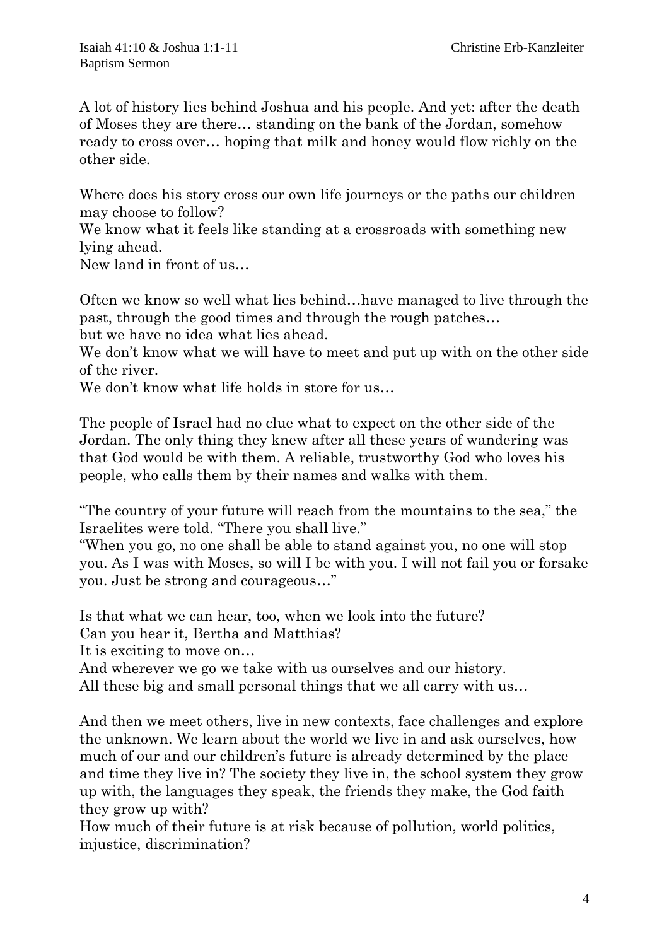A lot of history lies behind Joshua and his people. And yet: after the death of Moses they are there… standing on the bank of the Jordan, somehow ready to cross over… hoping that milk and honey would flow richly on the other side.

Where does his story cross our own life journeys or the paths our children may choose to follow?

We know what it feels like standing at a crossroads with something new lying ahead.

New land in front of us…

Often we know so well what lies behind…have managed to live through the past, through the good times and through the rough patches…

but we have no idea what lies ahead.

We don't know what we will have to meet and put up with on the other side of the river.

We don't know what life holds in store for us...

The people of Israel had no clue what to expect on the other side of the Jordan. The only thing they knew after all these years of wandering was that God would be with them. A reliable, trustworthy God who loves his people, who calls them by their names and walks with them.

"The country of your future will reach from the mountains to the sea," the Israelites were told. "There you shall live."

"When you go, no one shall be able to stand against you, no one will stop you. As I was with Moses, so will I be with you. I will not fail you or forsake you. Just be strong and courageous…"

Is that what we can hear, too, when we look into the future?

Can you hear it, Bertha and Matthias?

It is exciting to move on…

And wherever we go we take with us ourselves and our history.

All these big and small personal things that we all carry with us…

And then we meet others, live in new contexts, face challenges and explore the unknown. We learn about the world we live in and ask ourselves, how much of our and our children's future is already determined by the place and time they live in? The society they live in, the school system they grow up with, the languages they speak, the friends they make, the God faith they grow up with?

How much of their future is at risk because of pollution, world politics, injustice, discrimination?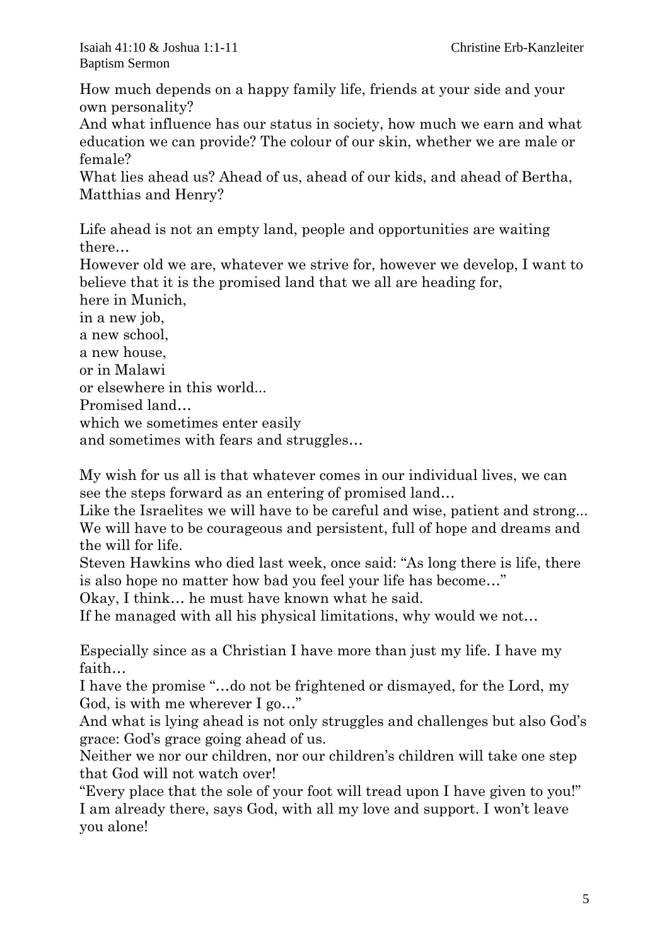How much depends on a happy family life, friends at your side and your own personality?

And what influence has our status in society, how much we earn and what education we can provide? The colour of our skin, whether we are male or female?

What lies ahead us? Ahead of us, ahead of our kids, and ahead of Bertha, Matthias and Henry?

Life ahead is not an empty land, people and opportunities are waiting there…

However old we are, whatever we strive for, however we develop, I want to believe that it is the promised land that we all are heading for,

here in Munich,

in a new job,

a new school,

a new house,

or in Malawi

or elsewhere in this world...

Promised land…

which we sometimes enter easily

and sometimes with fears and struggles…

My wish for us all is that whatever comes in our individual lives, we can see the steps forward as an entering of promised land…

Like the Israelites we will have to be careful and wise, patient and strong... We will have to be courageous and persistent, full of hope and dreams and the will for life.

Steven Hawkins who died last week, once said: "As long there is life, there is also hope no matter how bad you feel your life has become…"

Okay, I think… he must have known what he said.

If he managed with all his physical limitations, why would we not…

Especially since as a Christian I have more than just my life. I have my faith…

I have the promise "…do not be frightened or dismayed, for the Lord, my God, is with me wherever I go…"

And what is lying ahead is not only struggles and challenges but also God's grace: God's grace going ahead of us.

Neither we nor our children, nor our children's children will take one step that God will not watch over!

"Every place that the sole of your foot will tread upon I have given to you!" I am already there, says God, with all my love and support. I won't leave you alone!